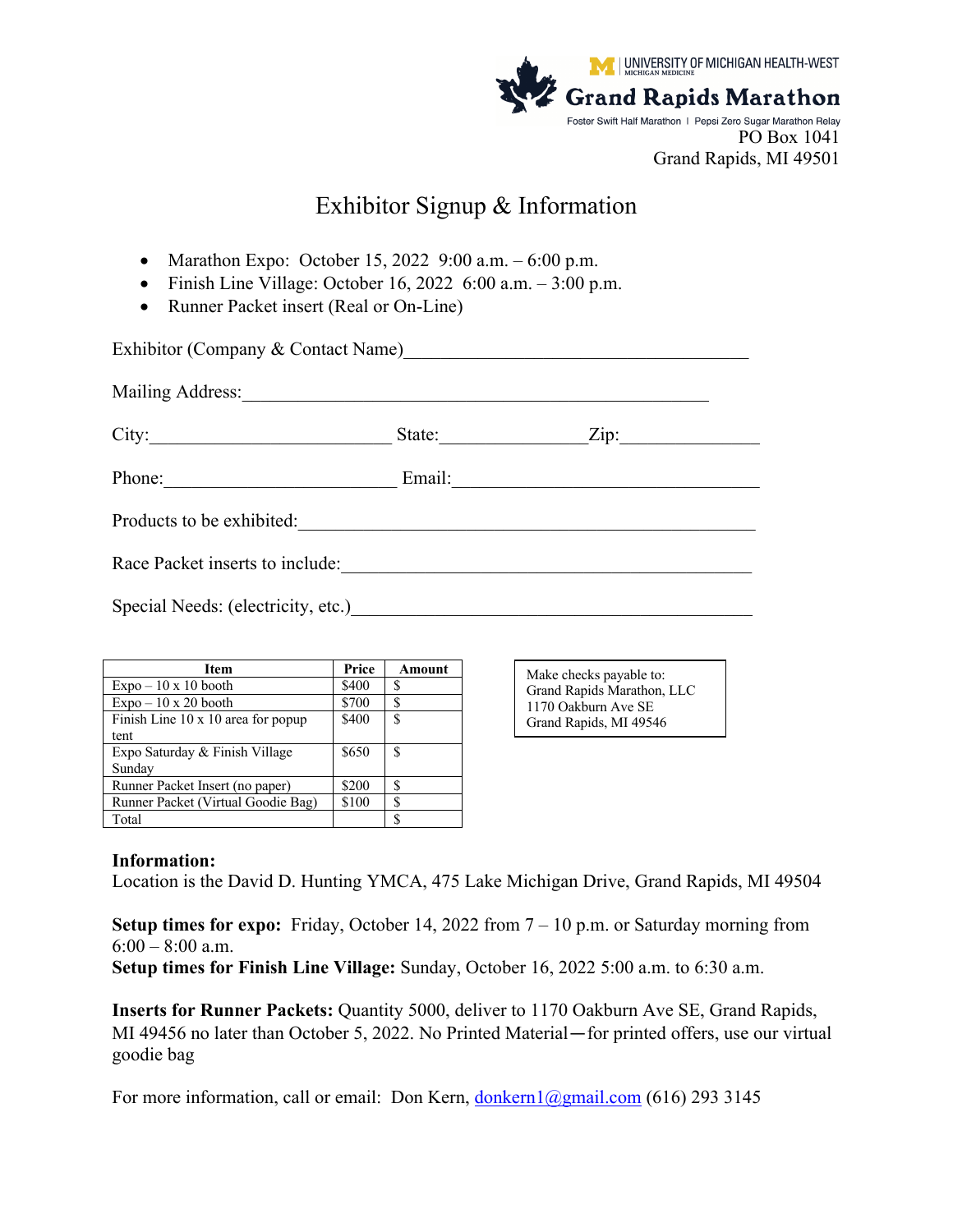

# Exhibitor Signup & Information

- Marathon Expo: October 15, 2022  $9:00$  a.m.  $-6:00$  p.m.
- Finish Line Village: October 16, 2022  $6:00$  a.m.  $-3:00$  p.m.
- Runner Packet insert (Real or On-Line)

| Exhibitor (Company & Contact Name)<br><u>Letting</u> |        |                            |  |  |
|------------------------------------------------------|--------|----------------------------|--|--|
|                                                      |        |                            |  |  |
|                                                      | State: | $\overline{\mathrm{Zip:}}$ |  |  |
| Phone:                                               | Email: |                            |  |  |
| Products to be exhibited:                            |        |                            |  |  |
| Race Packet inserts to include:                      |        |                            |  |  |
| Special Needs: (electricity, etc.)                   |        |                            |  |  |

| <b>Item</b>                        | Price | Amount |
|------------------------------------|-------|--------|
| $Expo - 10 \times 10$ booth        | \$400 |        |
| $Expo - 10 \times 20$ booth        | \$700 |        |
| Finish Line 10 x 10 area for popup | \$400 | \$.    |
| tent                               |       |        |
| Expo Saturday & Finish Village     | \$650 | S      |
| Sunday                             |       |        |
| Runner Packet Insert (no paper)    | \$200 | S      |
| Runner Packet (Virtual Goodie Bag) | \$100 | S      |
| Total                              |       |        |

Make checks payable to: Grand Rapids Marathon, LLC 1170 Oakburn Ave SE Grand Rapids, MI 49546

### **Information:**

Location is the David D. Hunting YMCA, 475 Lake Michigan Drive, Grand Rapids, MI 49504

**Setup times for expo:** Friday, October 14, 2022 from  $7 - 10$  p.m. or Saturday morning from  $6:00 - 8:00$  a.m.

**Setup times for Finish Line Village:** Sunday, October 16, 2022 5:00 a.m. to 6:30 a.m.

**Inserts for Runner Packets:** Quantity 5000, deliver to 1170 Oakburn Ave SE, Grand Rapids, MI 49456 no later than October 5, 2022. No Printed Material—for printed offers, use our virtual goodie bag

For more information, call or email: Don Kern,  $\frac{\text{donkern1}(\partial \text{gmail.com}}{\text{com1}(\partial \text{gmail.com})}$  (616) 293 3145